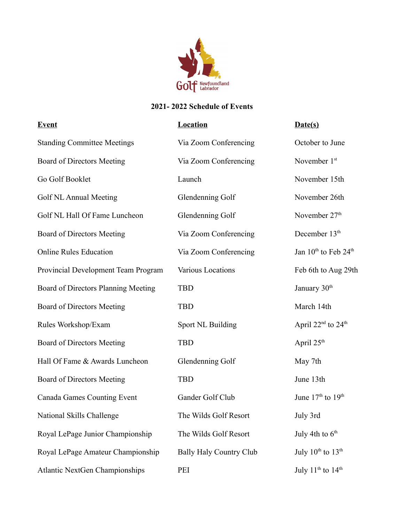

## **2021- 2022 Schedule of Events**

| <b>Event</b>                          | <b>Location</b>                | Date(s)                                      |
|---------------------------------------|--------------------------------|----------------------------------------------|
| <b>Standing Committee Meetings</b>    | Via Zoom Conferencing          | October to June                              |
| <b>Board of Directors Meeting</b>     | Via Zoom Conferencing          | November 1st                                 |
| Go Golf Booklet                       | Launch                         | November 15th                                |
| Golf NL Annual Meeting                | Glendenning Golf               | November 26th                                |
| Golf NL Hall Of Fame Luncheon         | Glendenning Golf               | November 27 <sup>th</sup>                    |
| <b>Board of Directors Meeting</b>     | Via Zoom Conferencing          | December 13 <sup>th</sup>                    |
| <b>Online Rules Education</b>         | Via Zoom Conferencing          | Jan 10 <sup>th</sup> to Feb 24 <sup>th</sup> |
| Provincial Development Team Program   | Various Locations              | Feb 6th to Aug 29th                          |
| Board of Directors Planning Meeting   | <b>TBD</b>                     | January 30 <sup>th</sup>                     |
| <b>Board of Directors Meeting</b>     | <b>TBD</b>                     | March 14th                                   |
| Rules Workshop/Exam                   | Sport NL Building              | April $22nd$ to $24th$                       |
| <b>Board of Directors Meeting</b>     | <b>TBD</b>                     | April 25 <sup>th</sup>                       |
| Hall Of Fame & Awards Luncheon        | Glendenning Golf               | May 7th                                      |
| <b>Board of Directors Meeting</b>     | <b>TBD</b>                     | June 13th                                    |
| Canada Games Counting Event           | Gander Golf Club               | June $17th$ to $19th$                        |
| National Skills Challenge             | The Wilds Golf Resort          | July 3rd                                     |
| Royal LePage Junior Championship      | The Wilds Golf Resort          | July 4th to $6th$                            |
| Royal LePage Amateur Championship     | <b>Bally Haly Country Club</b> | July $10^{th}$ to $13^{th}$                  |
| <b>Atlantic NextGen Championships</b> | PEI                            | July $11^{\text{th}}$ to $14^{\text{th}}$    |